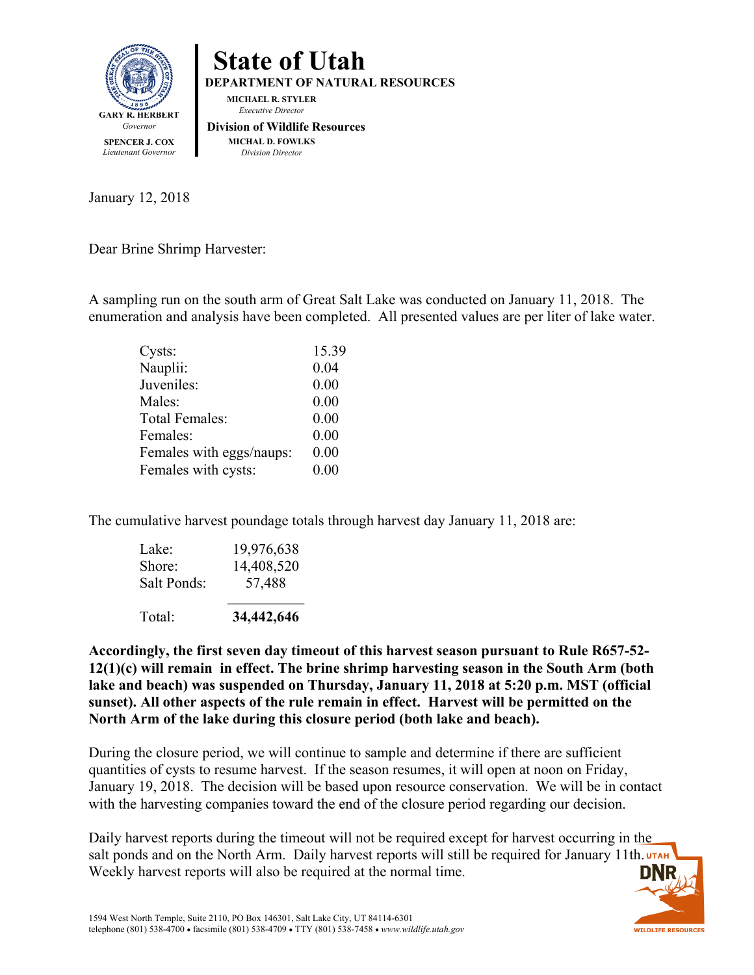



January 12, 2018

Dear Brine Shrimp Harvester:

A sampling run on the south arm of Great Salt Lake was conducted on January 11, 2018. The enumeration and analysis have been completed. All presented values are per liter of lake water.

| Cysts:                   | 15.39 |
|--------------------------|-------|
| Nauplii:                 | 0.04  |
| Juveniles:               | 0.00  |
| Males:                   | 0.00  |
| <b>Total Females:</b>    | 0.00  |
| Females:                 | 0.00  |
| Females with eggs/naups: | 0.00  |
| Females with cysts:      | 0.00  |
|                          |       |

The cumulative harvest poundage totals through harvest day January 11, 2018 are:

| Total:      | 34,442,646 |
|-------------|------------|
| Salt Ponds: | 57,488     |
| Shore:      | 14,408,520 |
| Lake:       | 19,976,638 |

**Accordingly, the first seven day timeout of this harvest season pursuant to Rule R657-52- 12(1)(c) will remain in effect. The brine shrimp harvesting season in the South Arm (both lake and beach) was suspended on Thursday, January 11, 2018 at 5:20 p.m. MST (official sunset). All other aspects of the rule remain in effect. Harvest will be permitted on the North Arm of the lake during this closure period (both lake and beach).** 

During the closure period, we will continue to sample and determine if there are sufficient quantities of cysts to resume harvest. If the season resumes, it will open at noon on Friday, January 19, 2018. The decision will be based upon resource conservation. We will be in contact with the harvesting companies toward the end of the closure period regarding our decision.

Daily harvest reports during the timeout will not be required except for harvest occurring in the salt ponds and on the North Arm. Daily harvest reports will still be required for January 11th. UTAH Weekly harvest reports will also be required at the normal time.

**WILDLIFE RESOURCES**